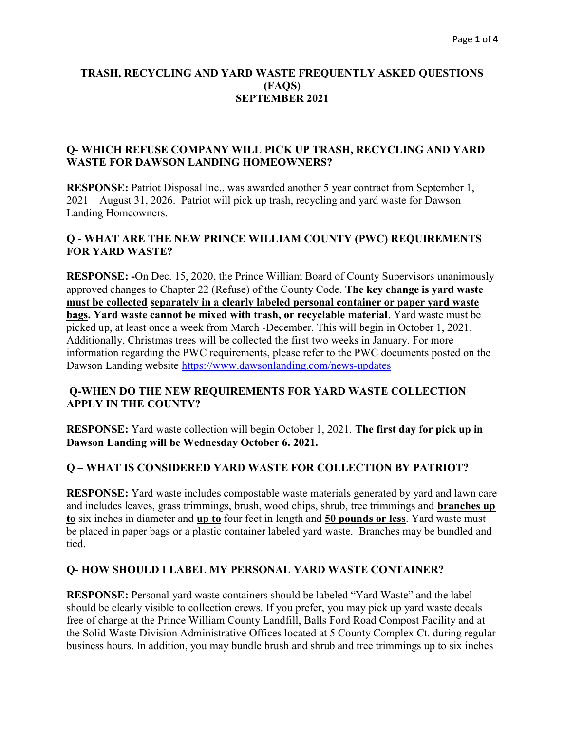#### TRASH, RECYCLING AND YARD WASTE FREQUENTLY ASKED QUESTIONS (FAQS) SEPTEMBER 2021

#### Q- WHICH REFUSE COMPANY WILL PICK UP TRASH, RECYCLING AND YARD WASTE FOR DAWSON LANDING HOMEOWNERS?

RESPONSE: Patriot Disposal Inc., was awarded another 5 year contract from September 1, 2021 – August 31, 2026. Patriot will pick up trash, recycling and yard waste for Dawson Landing Homeowners.

### Q - WHAT ARE THE NEW PRINCE WILLIAM COUNTY (PWC) REQUIREMENTS FOR YARD WASTE?

RESPONSE: -On Dec. 15, 2020, the Prince William Board of County Supervisors unanimously approved changes to Chapter 22 (Refuse) of the County Code. The key change is yard waste must be collected separately in a clearly labeled personal container or paper yard waste bags. Yard waste cannot be mixed with trash, or recyclable material. Yard waste must be picked up, at least once a week from March -December. This will begin in October 1, 2021. Additionally, Christmas trees will be collected the first two weeks in January. For more information regarding the PWC requirements, please refer to the PWC documents posted on the Dawson Landing website https://www.dawsonlanding.com/news-updates

#### Q-WHEN DO THE NEW REQUIREMENTS FOR YARD WASTE COLLECTION APPLY IN THE COUNTY?

RESPONSE: Yard waste collection will begin October 1, 2021. The first day for pick up in Dawson Landing will be Wednesday October 6. 2021.

### Q – WHAT IS CONSIDERED YARD WASTE FOR COLLECTION BY PATRIOT?

RESPONSE: Yard waste includes compostable waste materials generated by yard and lawn care and includes leaves, grass trimmings, brush, wood chips, shrub, tree trimmings and branches up to six inches in diameter and up to four feet in length and 50 pounds or less. Yard waste must be placed in paper bags or a plastic container labeled yard waste. Branches may be bundled and tied.

#### Q- HOW SHOULD I LABEL MY PERSONAL YARD WASTE CONTAINER?

RESPONSE: Personal yard waste containers should be labeled "Yard Waste" and the label should be clearly visible to collection crews. If you prefer, you may pick up yard waste decals free of charge at the Prince William County Landfill, Balls Ford Road Compost Facility and at the Solid Waste Division Administrative Offices located at 5 County Complex Ct. during regular business hours. In addition, you may bundle brush and shrub and tree trimmings up to six inches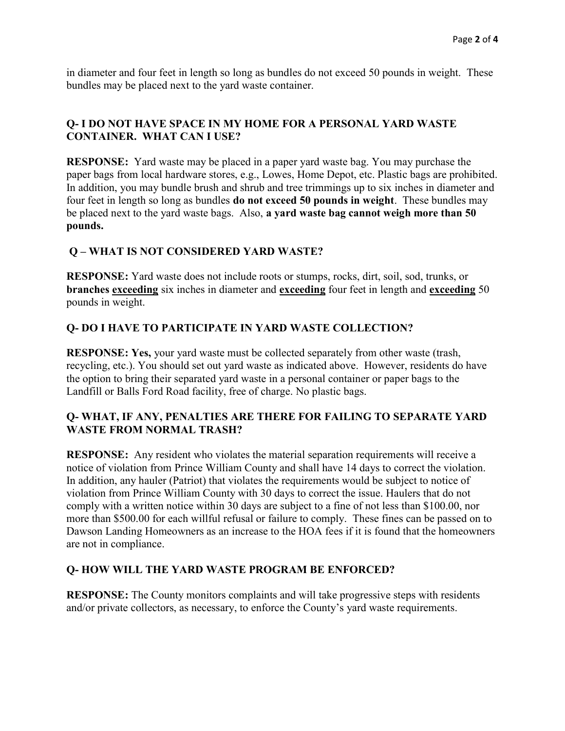in diameter and four feet in length so long as bundles do not exceed 50 pounds in weight. These bundles may be placed next to the yard waste container.

# Q- I DO NOT HAVE SPACE IN MY HOME FOR A PERSONAL YARD WASTE CONTAINER. WHAT CAN I USE?

RESPONSE: Yard waste may be placed in a paper yard waste bag. You may purchase the paper bags from local hardware stores, e.g., Lowes, Home Depot, etc. Plastic bags are prohibited. In addition, you may bundle brush and shrub and tree trimmings up to six inches in diameter and four feet in length so long as bundles do not exceed 50 pounds in weight. These bundles may be placed next to the yard waste bags. Also, a yard waste bag cannot weigh more than 50 pounds.

# Q – WHAT IS NOT CONSIDERED YARD WASTE?

RESPONSE: Yard waste does not include roots or stumps, rocks, dirt, soil, sod, trunks, or branches exceeding six inches in diameter and exceeding four feet in length and exceeding 50 pounds in weight.

### Q- DO I HAVE TO PARTICIPATE IN YARD WASTE COLLECTION?

RESPONSE: Yes, your yard waste must be collected separately from other waste (trash, recycling, etc.). You should set out yard waste as indicated above. However, residents do have the option to bring their separated yard waste in a personal container or paper bags to the Landfill or Balls Ford Road facility, free of charge. No plastic bags.

#### Q- WHAT, IF ANY, PENALTIES ARE THERE FOR FAILING TO SEPARATE YARD WASTE FROM NORMAL TRASH?

RESPONSE: Any resident who violates the material separation requirements will receive a notice of violation from Prince William County and shall have 14 days to correct the violation. In addition, any hauler (Patriot) that violates the requirements would be subject to notice of violation from Prince William County with 30 days to correct the issue. Haulers that do not comply with a written notice within 30 days are subject to a fine of not less than \$100.00, nor more than \$500.00 for each willful refusal or failure to comply. These fines can be passed on to Dawson Landing Homeowners as an increase to the HOA fees if it is found that the homeowners are not in compliance.

### Q- HOW WILL THE YARD WASTE PROGRAM BE ENFORCED?

RESPONSE: The County monitors complaints and will take progressive steps with residents and/or private collectors, as necessary, to enforce the County's yard waste requirements.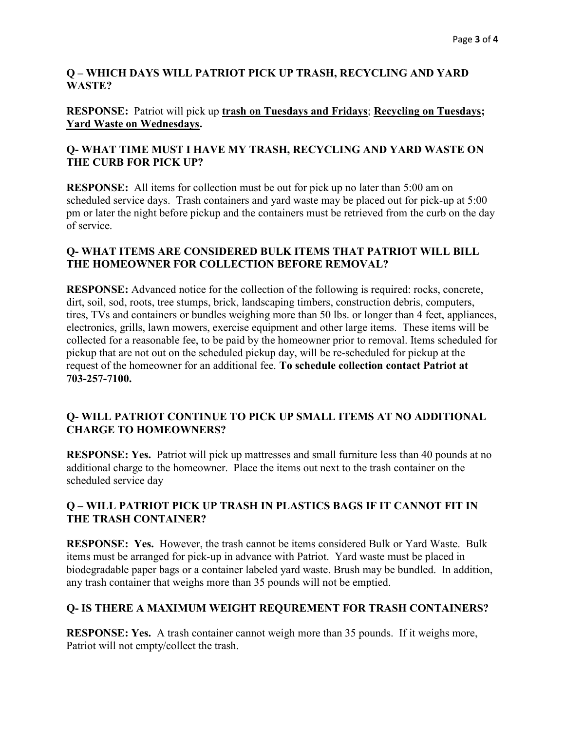### Q – WHICH DAYS WILL PATRIOT PICK UP TRASH, RECYCLING AND YARD WASTE?

### RESPONSE: Patriot will pick up trash on Tuesdays and Fridays; Recycling on Tuesdays; Yard Waste on Wednesdays.

# Q- WHAT TIME MUST I HAVE MY TRASH, RECYCLING AND YARD WASTE ON THE CURB FOR PICK UP?

RESPONSE: All items for collection must be out for pick up no later than 5:00 am on scheduled service days. Trash containers and yard waste may be placed out for pick-up at 5:00 pm or later the night before pickup and the containers must be retrieved from the curb on the day of service.

### Q- WHAT ITEMS ARE CONSIDERED BULK ITEMS THAT PATRIOT WILL BILL THE HOMEOWNER FOR COLLECTION BEFORE REMOVAL?

RESPONSE: Advanced notice for the collection of the following is required: rocks, concrete, dirt, soil, sod, roots, tree stumps, brick, landscaping timbers, construction debris, computers, tires, TVs and containers or bundles weighing more than 50 lbs. or longer than 4 feet, appliances, electronics, grills, lawn mowers, exercise equipment and other large items. These items will be collected for a reasonable fee, to be paid by the homeowner prior to removal. Items scheduled for pickup that are not out on the scheduled pickup day, will be re-scheduled for pickup at the request of the homeowner for an additional fee. To schedule collection contact Patriot at 703-257-7100.

# Q- WILL PATRIOT CONTINUE TO PICK UP SMALL ITEMS AT NO ADDITIONAL CHARGE TO HOMEOWNERS?

RESPONSE: Yes. Patriot will pick up mattresses and small furniture less than 40 pounds at no additional charge to the homeowner. Place the items out next to the trash container on the scheduled service day

# Q – WILL PATRIOT PICK UP TRASH IN PLASTICS BAGS IF IT CANNOT FIT IN THE TRASH CONTAINER?

RESPONSE: Yes. However, the trash cannot be items considered Bulk or Yard Waste. Bulk items must be arranged for pick-up in advance with Patriot. Yard waste must be placed in biodegradable paper bags or a container labeled yard waste. Brush may be bundled. In addition, any trash container that weighs more than 35 pounds will not be emptied.

# Q- IS THERE A MAXIMUM WEIGHT REQUREMENT FOR TRASH CONTAINERS?

RESPONSE: Yes. A trash container cannot weigh more than 35 pounds. If it weighs more, Patriot will not empty/collect the trash.